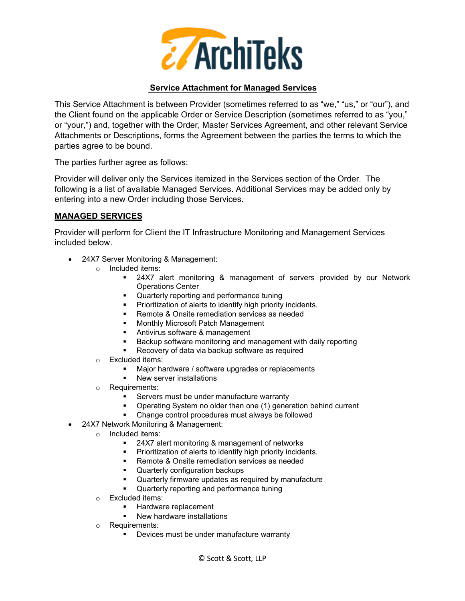

### **Service Attachment for Managed Services**

This Service Attachment is between Provider (sometimes referred to as "we," "us," or "our"), and the Client found on the applicable Order or Service Description (sometimes referred to as "you," or "your,") and, together with the Order, Master Services Agreement, and other relevant Service Attachments or Descriptions, forms the Agreement between the parties the terms to which the parties agree to be bound.

The parties further agree as follows:

Provider will deliver only the Services itemized in the Services section of the Order. The following is a list of available Managed Services. Additional Services may be added only by entering into a new Order including those Services.

#### **MANAGED SERVICES**

Provider will perform for Client the IT Infrastructure Monitoring and Management Services included below.

- 24X7 Server Monitoring & Management:
	- o Included items:
		- 24X7 alert monitoring & management of servers provided by our Network Operations Center
		- **•** Quarterly reporting and performance tuning
		- **Prioritization of alerts to identify high priority incidents.**
		- **Remote & Onsite remediation services as needed**
		- **Kanal Monthly Microsoft Patch Management**
		- **Antivirus software & management**
		- Backup software monitoring and management with daily reporting
		- Recovery of data via backup software as required
	- o Excluded items:
		- Major hardware / software upgrades or replacements
		- **New server installations**
	- o Requirements:
		- **Servers must be under manufacture warranty**
		- Operating System no older than one (1) generation behind current
		- Change control procedures must always be followed
	- 24X7 Network Monitoring & Management:
		- o Included items:
			- 24X7 alert monitoring & management of networks<br>■ Prioritization of alerts to identify high priority incide
			- Prioritization of alerts to identify high priority incidents.
			- Remote & Onsite remediation services as needed
			- **•** Quarterly configuration backups
			- Quarterly firmware updates as required by manufacture
			- **•** Quarterly reporting and performance tuning
		- o Excluded items:
			- **Hardware replacement**
			- **New hardware installations**
		- o Requirements:
			- **•** Devices must be under manufacture warranty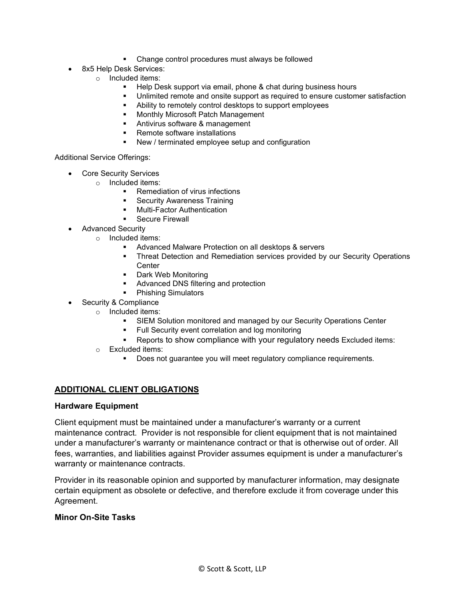- **EXECO FIGUREY Change control procedures must always be followed**
- 8x5 Help Desk Services:
	- o Included items:
		- Help Desk support via email, phone & chat during business hours
		- Unlimited remote and onsite support as required to ensure customer satisfaction
		- Ability to remotely control desktops to support employees
		- **Monthly Microsoft Patch Management**
		- **Antivirus software & management**
		- Remote software installations<br>■ New / terminated employee se
		- New / terminated employee setup and configuration

#### Additional Service Offerings:

- Core Security Services
	- o Included items:
		- **Remediation of virus infections**
		- Security Awareness Training
		- **•** Multi-Factor Authentication
		- Secure Firewall
- Advanced Security
	- o Included items:
		- **Advanced Malware Protection on all desktops & servers**
		- **Threat Detection and Remediation services provided by our Security Operations Center**
		- **Dark Web Monitoring**
		- **Advanced DNS filtering and protection**
		- Phishing Simulators
- Security & Compliance
	- o Included items:
		- SIEM Solution monitored and managed by our Security Operations Center
		- **Full Security event correlation and log monitoring**
		- Reports to show compliance with your regulatory needs Excluded items:
		- o Excluded items:
			- Does not guarantee you will meet regulatory compliance requirements.

#### **ADDITIONAL CLIENT OBLIGATIONS**

#### **Hardware Equipment**

Client equipment must be maintained under a manufacturer's warranty or a current maintenance contract. Provider is not responsible for client equipment that is not maintained under a manufacturer's warranty or maintenance contract or that is otherwise out of order. All fees, warranties, and liabilities against Provider assumes equipment is under a manufacturer's warranty or maintenance contracts.

Provider in its reasonable opinion and supported by manufacturer information, may designate certain equipment as obsolete or defective, and therefore exclude it from coverage under this Agreement.

#### **Minor On-Site Tasks**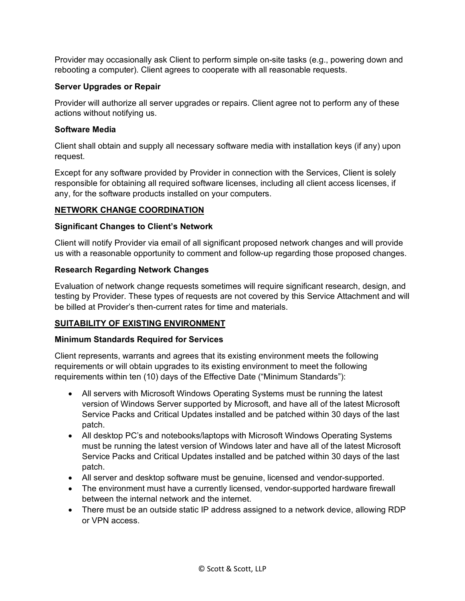Provider may occasionally ask Client to perform simple on-site tasks (e.g., powering down and rebooting a computer). Client agrees to cooperate with all reasonable requests.

### **Server Upgrades or Repair**

Provider will authorize all server upgrades or repairs. Client agree not to perform any of these actions without notifying us.

### **Software Media**

Client shall obtain and supply all necessary software media with installation keys (if any) upon request.

Except for any software provided by Provider in connection with the Services, Client is solely responsible for obtaining all required software licenses, including all client access licenses, if any, for the software products installed on your computers.

### **NETWORK CHANGE COORDINATION**

#### **Significant Changes to Client's Network**

Client will notify Provider via email of all significant proposed network changes and will provide us with a reasonable opportunity to comment and follow-up regarding those proposed changes.

#### **Research Regarding Network Changes**

Evaluation of network change requests sometimes will require significant research, design, and testing by Provider. These types of requests are not covered by this Service Attachment and will be billed at Provider's then-current rates for time and materials.

# **SUITABILITY OF EXISTING ENVIRONMENT**

#### **Minimum Standards Required for Services**

Client represents, warrants and agrees that its existing environment meets the following requirements or will obtain upgrades to its existing environment to meet the following requirements within ten (10) days of the Effective Date ("Minimum Standards"):

- All servers with Microsoft Windows Operating Systems must be running the latest version of Windows Server supported by Microsoft, and have all of the latest Microsoft Service Packs and Critical Updates installed and be patched within 30 days of the last patch.
- All desktop PC's and notebooks/laptops with Microsoft Windows Operating Systems must be running the latest version of Windows later and have all of the latest Microsoft Service Packs and Critical Updates installed and be patched within 30 days of the last patch.
- All server and desktop software must be genuine, licensed and vendor-supported.
- The environment must have a currently licensed, vendor-supported hardware firewall between the internal network and the internet.
- There must be an outside static IP address assigned to a network device, allowing RDP or VPN access.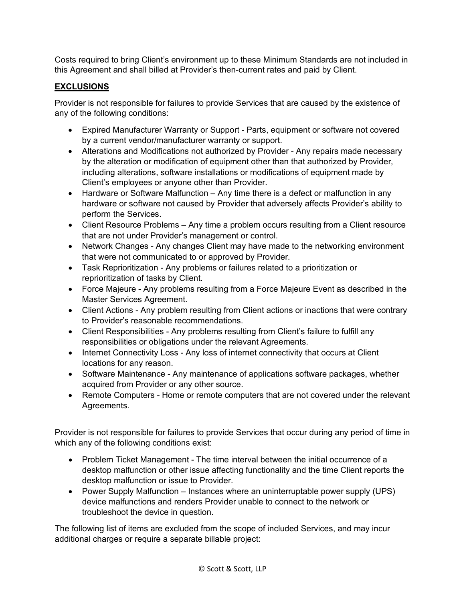Costs required to bring Client's environment up to these Minimum Standards are not included in this Agreement and shall billed at Provider's then-current rates and paid by Client.

# **EXCLUSIONS**

Provider is not responsible for failures to provide Services that are caused by the existence of any of the following conditions:

- Expired Manufacturer Warranty or Support Parts, equipment or software not covered by a current vendor/manufacturer warranty or support.
- Alterations and Modifications not authorized by Provider Any repairs made necessary by the alteration or modification of equipment other than that authorized by Provider, including alterations, software installations or modifications of equipment made by Client's employees or anyone other than Provider.
- Hardware or Software Malfunction Any time there is a defect or malfunction in any hardware or software not caused by Provider that adversely affects Provider's ability to perform the Services.
- Client Resource Problems Any time a problem occurs resulting from a Client resource that are not under Provider's management or control.
- Network Changes Any changes Client may have made to the networking environment that were not communicated to or approved by Provider.
- Task Reprioritization Any problems or failures related to a prioritization or reprioritization of tasks by Client.
- Force Majeure Any problems resulting from a Force Majeure Event as described in the Master Services Agreement.
- Client Actions Any problem resulting from Client actions or inactions that were contrary to Provider's reasonable recommendations.
- Client Responsibilities Any problems resulting from Client's failure to fulfill any responsibilities or obligations under the relevant Agreements.
- Internet Connectivity Loss Any loss of internet connectivity that occurs at Client locations for any reason.
- Software Maintenance Any maintenance of applications software packages, whether acquired from Provider or any other source.
- Remote Computers Home or remote computers that are not covered under the relevant Agreements.

Provider is not responsible for failures to provide Services that occur during any period of time in which any of the following conditions exist:

- Problem Ticket Management The time interval between the initial occurrence of a desktop malfunction or other issue affecting functionality and the time Client reports the desktop malfunction or issue to Provider.
- Power Supply Malfunction Instances where an uninterruptable power supply (UPS) device malfunctions and renders Provider unable to connect to the network or troubleshoot the device in question.

The following list of items are excluded from the scope of included Services, and may incur additional charges or require a separate billable project: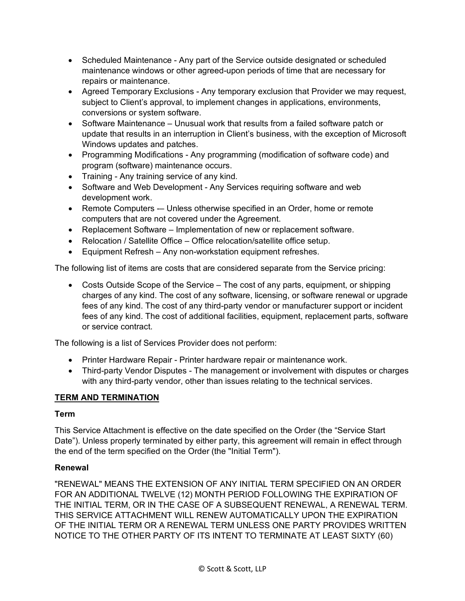- Scheduled Maintenance Any part of the Service outside designated or scheduled maintenance windows or other agreed-upon periods of time that are necessary for repairs or maintenance.
- Agreed Temporary Exclusions Any temporary exclusion that Provider we may request, subject to Client's approval, to implement changes in applications, environments, conversions or system software.
- Software Maintenance Unusual work that results from a failed software patch or update that results in an interruption in Client's business, with the exception of Microsoft Windows updates and patches.
- Programming Modifications Any programming (modification of software code) and program (software) maintenance occurs.
- Training Any training service of any kind.
- Software and Web Development Any Services requiring software and web development work.
- Remote Computers -– Unless otherwise specified in an Order, home or remote computers that are not covered under the Agreement.
- Replacement Software Implementation of new or replacement software.
- Relocation / Satellite Office Office relocation/satellite office setup.
- Equipment Refresh Any non-workstation equipment refreshes.

The following list of items are costs that are considered separate from the Service pricing:

• Costs Outside Scope of the Service – The cost of any parts, equipment, or shipping charges of any kind. The cost of any software, licensing, or software renewal or upgrade fees of any kind. The cost of any third-party vendor or manufacturer support or incident fees of any kind. The cost of additional facilities, equipment, replacement parts, software or service contract.

The following is a list of Services Provider does not perform:

- Printer Hardware Repair Printer hardware repair or maintenance work.
- Third-party Vendor Disputes The management or involvement with disputes or charges with any third-party vendor, other than issues relating to the technical services.

# **TERM AND TERMINATION**

#### **Term**

This Service Attachment is effective on the date specified on the Order (the "Service Start Date"). Unless properly terminated by either party, this agreement will remain in effect through the end of the term specified on the Order (the "Initial Term").

# **Renewal**

"RENEWAL" MEANS THE EXTENSION OF ANY INITIAL TERM SPECIFIED ON AN ORDER FOR AN ADDITIONAL TWELVE (12) MONTH PERIOD FOLLOWING THE EXPIRATION OF THE INITIAL TERM, OR IN THE CASE OF A SUBSEQUENT RENEWAL, A RENEWAL TERM. THIS SERVICE ATTACHMENT WILL RENEW AUTOMATICALLY UPON THE EXPIRATION OF THE INITIAL TERM OR A RENEWAL TERM UNLESS ONE PARTY PROVIDES WRITTEN NOTICE TO THE OTHER PARTY OF ITS INTENT TO TERMINATE AT LEAST SIXTY (60)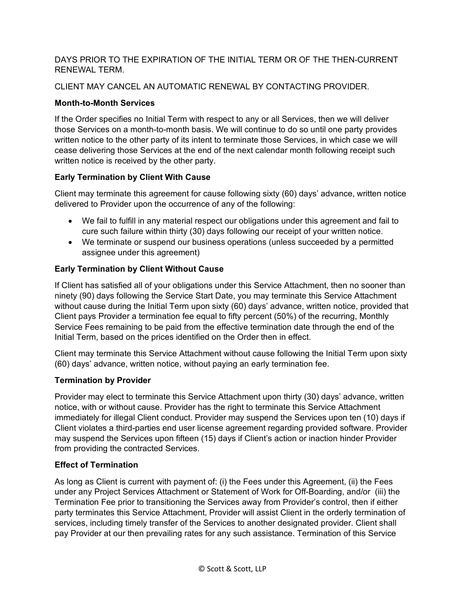### DAYS PRIOR TO THE EXPIRATION OF THE INITIAL TERM OR OF THE THEN-CURRENT RENEWAL TERM.

# CLIENT MAY CANCEL AN AUTOMATIC RENEWAL BY CONTACTING PROVIDER.

# **Month-to-Month Services**

If the Order specifies no Initial Term with respect to any or all Services, then we will deliver those Services on a month-to-month basis. We will continue to do so until one party provides written notice to the other party of its intent to terminate those Services, in which case we will cease delivering those Services at the end of the next calendar month following receipt such written notice is received by the other party.

# **Early Termination by Client With Cause**

Client may terminate this agreement for cause following sixty (60) days' advance, written notice delivered to Provider upon the occurrence of any of the following:

- We fail to fulfill in any material respect our obligations under this agreement and fail to cure such failure within thirty (30) days following our receipt of your written notice.
- We terminate or suspend our business operations (unless succeeded by a permitted assignee under this agreement)

# **Early Termination by Client Without Cause**

If Client has satisfied all of your obligations under this Service Attachment, then no sooner than ninety (90) days following the Service Start Date, you may terminate this Service Attachment without cause during the Initial Term upon sixty (60) days' advance, written notice, provided that Client pays Provider a termination fee equal to fifty percent (50%) of the recurring, Monthly Service Fees remaining to be paid from the effective termination date through the end of the Initial Term, based on the prices identified on the Order then in effect.

Client may terminate this Service Attachment without cause following the Initial Term upon sixty (60) days' advance, written notice, without paying an early termination fee.

# **Termination by Provider**

Provider may elect to terminate this Service Attachment upon thirty (30) days' advance, written notice, with or without cause. Provider has the right to terminate this Service Attachment immediately for illegal Client conduct. Provider may suspend the Services upon ten (10) days if Client violates a third-parties end user license agreement regarding provided software. Provider may suspend the Services upon fifteen (15) days if Client's action or inaction hinder Provider from providing the contracted Services.

# **Effect of Termination**

As long as Client is current with payment of: (i) the Fees under this Agreement, (ii) the Fees under any Project Services Attachment or Statement of Work for Off-Boarding, and/or (iii) the Termination Fee prior to transitioning the Services away from Provider's control, then if either party terminates this Service Attachment, Provider will assist Client in the orderly termination of services, including timely transfer of the Services to another designated provider. Client shall pay Provider at our then prevailing rates for any such assistance. Termination of this Service